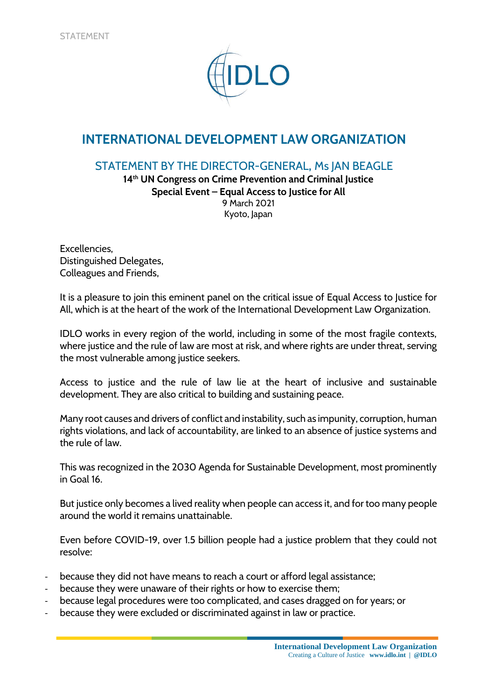

## **INTERNATIONAL DEVELOPMENT LAW ORGANIZATION**

## STATEMENT BY THE DIRECTOR-GENERAL, Ms JAN BEAGLE

**14th UN Congress on Crime Prevention and Criminal Justice Special Event – Equal Access to Justice for All** 9 March 2021 Kyoto, Japan

Excellencies, Distinguished Delegates, Colleagues and Friends,

It is a pleasure to join this eminent panel on the critical issue of Equal Access to Justice for All, which is at the heart of the work of the International Development Law Organization.

IDLO works in every region of the world, including in some of the most fragile contexts, where justice and the rule of law are most at risk, and where rights are under threat, serving the most vulnerable among justice seekers.

Access to justice and the rule of law lie at the heart of inclusive and sustainable development. They are also critical to building and sustaining peace.

Many root causes and drivers of conflict and instability, such as impunity, corruption, human rights violations, and lack of accountability, are linked to an absence of justice systems and the rule of law.

This was recognized in the 2030 Agenda for Sustainable Development, most prominently in Goal 16.

But justice only becomes a lived reality when people can access it, and for too many people around the world it remains unattainable.

Even before COVID-19, over 1.5 billion people had a justice problem that they could not resolve:

- because they did not have means to reach a court or afford legal assistance;
- because they were unaware of their rights or how to exercise them;
- because legal procedures were too complicated, and cases dragged on for years; or
- because they were excluded or discriminated against in law or practice.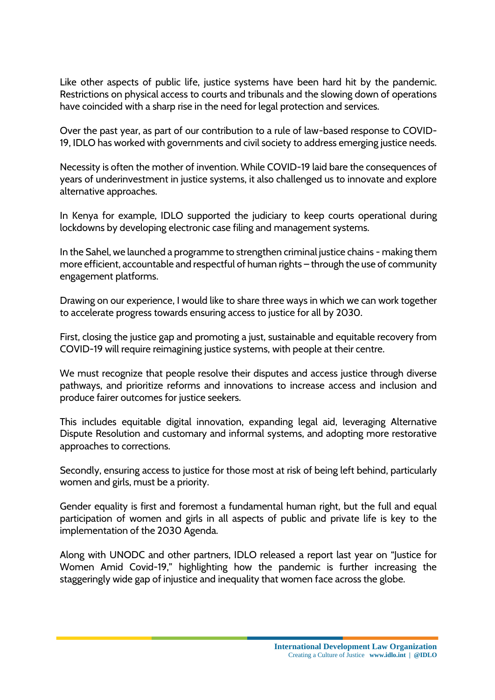Like other aspects of public life, justice systems have been hard hit by the pandemic. Restrictions on physical access to courts and tribunals and the slowing down of operations have coincided with a sharp rise in the need for legal protection and services.

Over the past year, as part of our contribution to a rule of law-based response to COVID-19, IDLO has worked with governments and civil society to address emerging justice needs.

Necessity is often the mother of invention. While COVID-19 laid bare the consequences of years of underinvestment in justice systems, it also challenged us to innovate and explore alternative approaches.

In Kenya for example, IDLO supported the judiciary to keep courts operational during lockdowns by developing electronic case filing and management systems.

In the Sahel, we launched a programme to strengthen criminal justice chains - making them more efficient, accountable and respectful of human rights – through the use of community engagement platforms.

Drawing on our experience, I would like to share three ways in which we can work together to accelerate progress towards ensuring access to justice for all by 2030.

First, closing the justice gap and promoting a just, sustainable and equitable recovery from COVID-19 will require reimagining justice systems, with people at their centre.

We must recognize that people resolve their disputes and access justice through diverse pathways, and prioritize reforms and innovations to increase access and inclusion and produce fairer outcomes for justice seekers.

This includes equitable digital innovation, expanding legal aid, leveraging Alternative Dispute Resolution and customary and informal systems, and adopting more restorative approaches to corrections.

Secondly, ensuring access to justice for those most at risk of being left behind, particularly women and girls, must be a priority.

Gender equality is first and foremost a fundamental human right, but the full and equal participation of women and girls in all aspects of public and private life is key to the implementation of the 2030 Agenda.

Along with UNODC and other partners, IDLO released a report last year on "Justice for Women Amid Covid-19," highlighting how the pandemic is further increasing the staggeringly wide gap of injustice and inequality that women face across the globe.